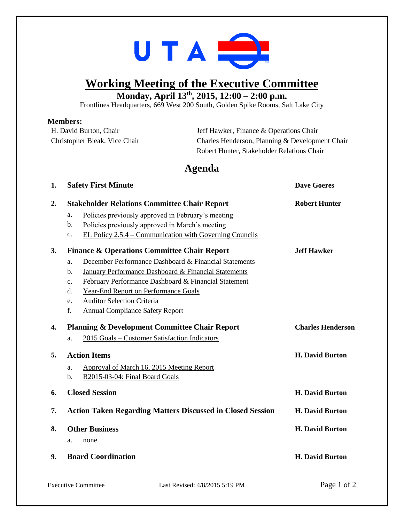

# **Working Meeting of the Executive Committee**

**Monday, April 13 th , 2015, 12:00 – 2:00 p.m.**

Frontlines Headquarters, 669 West 200 South, Golden Spike Rooms, Salt Lake City

#### **Members:**

| Jeff Hawker, Finance & Operations Chair         |
|-------------------------------------------------|
| Charles Henderson, Planning & Development Chair |
| Robert Hunter, Stakeholder Relations Chair      |
|                                                 |

### **Agenda**

| 1. | <b>Safety First Minute</b>                                                | <b>Dave Goeres</b>       |
|----|---------------------------------------------------------------------------|--------------------------|
| 2. | <b>Stakeholder Relations Committee Chair Report</b>                       | <b>Robert Hunter</b>     |
|    | Policies previously approved in February's meeting<br>a.                  |                          |
|    | b.<br>Policies previously approved in March's meeting                     |                          |
|    | EL Policy 2.5.4 – Communication with Governing Councils<br>$\mathbf{c}$ . |                          |
| 3. | <b>Finance &amp; Operations Committee Chair Report</b>                    | <b>Jeff Hawker</b>       |
|    | December Performance Dashboard & Financial Statements<br>a.               |                          |
|    | January Performance Dashboard & Financial Statements<br>b.                |                          |
|    | February Performance Dashboard & Financial Statement<br>$\mathbf{c}$ .    |                          |
|    | <b>Year-End Report on Performance Goals</b><br>d.                         |                          |
|    | <b>Auditor Selection Criteria</b><br>e.                                   |                          |
|    | f.<br><b>Annual Compliance Safety Report</b>                              |                          |
| 4. | <b>Planning &amp; Development Committee Chair Report</b>                  | <b>Charles Henderson</b> |
|    | 2015 Goals - Customer Satisfaction Indicators<br>a.                       |                          |
| 5. | <b>Action Items</b>                                                       | <b>H. David Burton</b>   |
|    | Approval of March 16, 2015 Meeting Report<br>a.                           |                          |
|    | R2015-03-04: Final Board Goals<br>b.                                      |                          |
| 6. | <b>Closed Session</b>                                                     | <b>H. David Burton</b>   |
| 7. | <b>Action Taken Regarding Matters Discussed in Closed Session</b>         | <b>H. David Burton</b>   |
| 8. | <b>Other Business</b>                                                     | <b>H. David Burton</b>   |
|    | a.<br>none                                                                |                          |
| 9. | <b>Board Coordination</b>                                                 | <b>H. David Burton</b>   |
|    |                                                                           |                          |